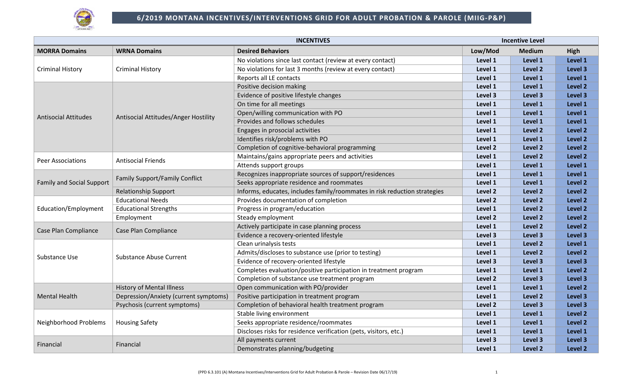

| <b>INCENTIVES</b>                |                                       |                                                                           |         | <b>Incentive Level</b> |                    |
|----------------------------------|---------------------------------------|---------------------------------------------------------------------------|---------|------------------------|--------------------|
| <b>MORRA Domains</b>             | <b>WRNA Domains</b>                   | <b>Desired Behaviors</b>                                                  | Low/Mod | <b>Medium</b>          | High               |
| <b>Criminal History</b>          |                                       | No violations since last contact (review at every contact)                | Level 1 | Level 1                | Level 1            |
|                                  | <b>Criminal History</b>               | No violations for last 3 months (review at every contact)                 | Level 1 | Level 2                | Level 3            |
|                                  |                                       | Reports all LE contacts                                                   | Level 1 | Level 1                | Level 1            |
|                                  |                                       | Positive decision making                                                  | Level 1 | Level 1                | Level 2            |
|                                  |                                       | Evidence of positive lifestyle changes                                    | Level 3 | Level 3                | Level 3            |
|                                  |                                       | On time for all meetings                                                  | Level 1 | Level 1                | Level 1            |
|                                  |                                       | Open/willing communication with PO                                        | Level 1 | Level 1                | Level 1            |
| Antisocial Attitudes             | Antisocial Attitudes/Anger Hostility  | Provides and follows schedules                                            | Level 1 | Level 1                | Level 1            |
|                                  |                                       | Engages in prosocial activities                                           | Level 1 | Level 2                | Level 2            |
|                                  |                                       | Identifies risk/problems with PO                                          | Level 1 | Level 1                | Level 2            |
|                                  |                                       | Completion of cognitive-behavioral programming                            | Level 2 | Level 2                | Level 2            |
|                                  | <b>Antisocial Friends</b>             | Maintains/gains appropriate peers and activities                          | Level 1 | Level 2                | Level 2            |
| Peer Associations                |                                       | Attends support groups                                                    | Level 1 | Level 1                | Level 1            |
|                                  | <b>Family Support/Family Conflict</b> | Recognizes inappropriate sources of support/residences                    | Level 1 | Level 1                | Level 1            |
| <b>Family and Social Support</b> |                                       | Seeks appropriate residence and roommates                                 | Level 1 | Level 1                | Level 2            |
|                                  | <b>Relationship Support</b>           | Informs, educates, includes family/roommates in risk reduction strategies | Level 2 | Level 2                | Level 2            |
|                                  | <b>Educational Needs</b>              | Provides documentation of completion                                      | Level 2 | Level 2                | Level 2            |
| Education/Employment             | <b>Educational Strengths</b>          | Progress in program/education                                             | Level 1 | Level 2                | Level 2            |
|                                  | Employment                            | Steady employment                                                         | Level 2 | Level 2                | Level 2            |
|                                  | Case Plan Compliance                  | Actively participate in case planning process                             | Level 1 | Level 2                | Level 2            |
| Case Plan Compliance             |                                       | Evidence a recovery-oriented lifestyle                                    | Level 3 | Level 3                | Level 3            |
|                                  | <b>Substance Abuse Current</b>        | Clean urinalysis tests                                                    | Level 1 | Level 2                | Level 1            |
|                                  |                                       | Admits/discloses to substance use (prior to testing)                      | Level 1 | Level 2                | Level 2            |
| Substance Use                    |                                       | Evidence of recovery-oriented lifestyle                                   | Level 3 | Level 3                | Level 3            |
|                                  |                                       | Completes evaluation/positive participation in treatment program          | Level 1 | Level 1                | Level 2            |
|                                  |                                       | Completion of substance use treatment program                             | Level 2 | Level 3                | Level 3            |
|                                  | <b>History of Mental Illness</b>      | Open communication with PO/provider                                       | Level 1 | Level 1                | Level <sub>2</sub> |
| <b>Mental Health</b>             | Depression/Anxiety (current symptoms) | Positive participation in treatment program                               | Level 1 | Level 2                | Level 3            |
|                                  | Psychosis (current symptoms)          | Completion of behavioral health treatment program                         | Level 2 | Level 3                | Level 3            |
|                                  |                                       | Stable living environment                                                 | Level 1 | Level 1                | Level 2            |
| Neighborhood Problems            | <b>Housing Safety</b>                 | Seeks appropriate residence/roommates                                     | Level 1 | Level 1                | Level 2            |
|                                  |                                       | Discloses risks for residence verification (pets, visitors, etc.)         | Level 1 | Level 1                | Level 1            |
|                                  |                                       | All payments current                                                      | Level 3 | Level 3                | Level 3            |
| Financial                        | Financial                             | Demonstrates planning/budgeting                                           | Level 1 | Level 2                | Level 2            |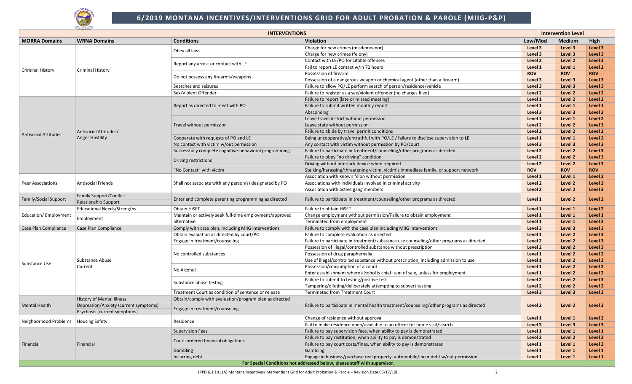

## **6/2019 MONTANA INCENTIVES/INTERVENTIONS GRID FOR ADULT PROBATION & PAROLE (MIIG-P&P)**

| <b>INTERVENTIONS</b><br><b>Intervention Level</b> |                                                                       |                                                         |                                                                                         |            |                    |                    |
|---------------------------------------------------|-----------------------------------------------------------------------|---------------------------------------------------------|-----------------------------------------------------------------------------------------|------------|--------------------|--------------------|
| <b>MORRA Domains</b>                              | <b>WRNA Domains</b>                                                   | <b>Conditions</b>                                       | <b>Violation</b>                                                                        | Low/Mod    | <b>Medium</b>      | High               |
|                                                   |                                                                       |                                                         | Charge for new crimes (misdemeanor)                                                     | Level 3    | Level 3            | Level 3            |
|                                                   |                                                                       | Obey all laws                                           | Charge for new crimes (felony)                                                          | Level 3    | Level 3            | Level 3            |
|                                                   |                                                                       |                                                         | Contact with LE/PO for citable offenses                                                 | Level 2    | Level 2            | Level 3            |
|                                                   |                                                                       | Report any arrest or contact with LE                    | Fail to report LE contact w/in 72 hours                                                 | Level 1    | Level 1            | Level <sub>2</sub> |
| <b>Criminal History</b>                           | <b>Criminal History</b>                                               |                                                         | Possession of firearm                                                                   | <b>ROV</b> | <b>ROV</b>         | <b>ROV</b>         |
|                                                   |                                                                       | Do not possess any firearms/weapons                     | Possession of a dangerous weapon or chemical agent (other than a firearm)               | Level 3    | Level 3            | Level 3            |
|                                                   |                                                                       | Searches and seizures                                   | Failure to allow PO/LE perform search of person/residence/vehicle                       | Level 3    | Level 3            | Level 3            |
|                                                   |                                                                       | Sex/Violent Offender                                    | Failure to register as a sex/violent offender (no charges filed)                        | Level 2    | Level 2            | Level 2            |
|                                                   |                                                                       |                                                         | Failure to report (late or missed meeting)                                              | Level 1    | Level 2            | Level 2            |
|                                                   |                                                                       | Report as directed to meet with PO                      | Failure to submit written monthly report                                                | Level 1    | Level 1            | Level 1            |
|                                                   |                                                                       |                                                         | Absconding                                                                              | Level 3    | Level 3            | Level 3            |
|                                                   |                                                                       |                                                         | Leave travel district without permission                                                | Level 1    | Level 1            | Level 2            |
|                                                   |                                                                       | Travel without permission                               | Leave state without permission                                                          | Level 2    | Level <sub>2</sub> | Level 3            |
|                                                   | Antisocial Attitudes/                                                 |                                                         | Failure to abide by travel permit conditions                                            | Level 2    | Level 2            | Level 2            |
| <b>Antisocial Attitudes</b>                       | <b>Anger Hostility</b>                                                | Cooperate with requests of PO and LE                    | Being uncooperative/untruthful with PO/LE / failure to disclose supervision to LE       | Level 1    | Level 1            | Level 2            |
|                                                   |                                                                       | No contact with victim w/out permission                 | Any contact with victim without permission by PO/court                                  | Level 3    | Level 3            | Level 3            |
|                                                   |                                                                       | Successfully complete cognitive-behavioral programming  | Failure to participate in treatment/counseling/other programs as directed               | Level 2    | Level 2            | Level 3            |
|                                                   |                                                                       |                                                         | Failure to obey "no driving" condition                                                  | Level 2    | Level 2            | Level 3            |
|                                                   |                                                                       | Driving restrictions                                    | Driving without interlock device when required                                          | Level 2    | Level 2            | Level 3            |
|                                                   |                                                                       | "No Contact" with victim                                | Stalking/harassing/threatening victim, victim's immediate family, or support network    | <b>ROV</b> | <b>ROV</b>         | <b>ROV</b>         |
|                                                   | <b>Antisocial Friends</b>                                             | Shall not associate with any person(s) designated by PO | Association with known felon without permission                                         | Level 1    | Level 1            | Level 2            |
| <b>Peer Associations</b>                          |                                                                       |                                                         | Associations with individuals involved in criminal activity                             | Level 2    | Level 2            | Level 2            |
|                                                   |                                                                       |                                                         | Association with active gang members                                                    | Level 2    | Level 2            | Level 3            |
| Family/Social Support                             | <b>Family Support/Conflict</b><br>Relationship Support                | Enter and complete parenting programming as directed    | Failure to participate in treatment/counseling/other programs as directed               | Level 1    | Level 2            | Level 2            |
|                                                   | <b>Educational Needs/Strengths</b>                                    | <b>Obtain HiSET</b>                                     | <b>Failure to obtain HiSET</b>                                                          | Level 1    | Level 1            | Level 2            |
| Education/Employment                              |                                                                       | Maintain or actively seek full-time employment/approved | Change employment without permission/Failure to obtain employment                       | Level 1    | Level 1            | Level 1            |
|                                                   | Employment                                                            | alternative                                             | Terminated from employment                                                              | Level 1    | Level 1            | Level 2            |
| Case Plan Compliance                              | Case Plan Compliance                                                  | Comply with case plan, including MIIG interventions     | Failure to comply with the case plan including MIIG interventions                       | Level 3    | Level 3            | Level 3            |
|                                                   | Substance Abuse<br>Current                                            | Obtain evaluation as directed by court/PO               | Failure to complete evaluation as directed                                              | Level 1    | Level 2            | Level 3            |
|                                                   |                                                                       | Engage in treatment/counseling                          | Failure to participate in treatment/substance use counseling/other programs as directed | Level 2    | Level 2            | Level 3            |
|                                                   |                                                                       |                                                         | Possession of illegal/controlled substance without prescription                         | Level 2    | Level 2            | Level 3            |
|                                                   |                                                                       | No controlled substances                                | Possession of drug paraphernalia                                                        | Level 1    | Level 2            | Level 2            |
|                                                   |                                                                       |                                                         | Use of illegal/controlled substance without prescription, including admission to use    | Level 1    | Level 2            | Level 2            |
| Substance Use                                     |                                                                       |                                                         | Possession/consumption of alcohol                                                       | Level 1    | Level 2            | Level 2            |
|                                                   |                                                                       | No Alcohol                                              | Enter establishment where alcohol is chief item of sale, unless for employment          | Level 1    | Level 2            | Level 2            |
|                                                   |                                                                       |                                                         | Failure to submit to testing/positive test                                              | Level 2    | Level <sub>2</sub> | Level 3            |
|                                                   |                                                                       | Substance abuse testing                                 | Tampering/diluting/deliberately attempting to subvert testing                           | Level 2    | Level 2            | Level 2            |
|                                                   |                                                                       | Treatment Court as condition of sentence or release     | <b>Terminated from Treatment Court</b>                                                  | Level 3    | Level 3            | Level 3            |
|                                                   | History of Mental Illness                                             | Obtain/comply with evaluation/program plan as directed  |                                                                                         |            |                    |                    |
| <b>Mental Health</b>                              | Depression/Anxiety (current symptoms)<br>Psychosis (current symptoms) | Engage in treatment/counseling                          | Failure to participate in mental health treatment/counseling/other programs as directed | Level 2    | Level 2            | Level 3            |
|                                                   |                                                                       |                                                         | Change of residence without approval                                                    | Level 1    | Level 1            | Level 2            |
| Neighborhood Problems                             | <b>Housing Safety</b>                                                 | Residence                                               | Fail to make residence open/available to an officer for home visit/search               | Level 3    | Level 3            | Level 3            |
|                                                   | Financial                                                             | <b>Supervision Fees</b>                                 | Failure to pay supervision fees, when ability to pay is demonstrated                    | Level 1    | Level 1            | Level 1            |
|                                                   |                                                                       | Court-ordered financial obligations                     | Failure to pay restitution, when ability to pay is demonstrated                         | Level 2    | Level 2            | Level 2            |
| Financial                                         |                                                                       |                                                         | Failure to pay court costs/fines, when ability to pay is demonstrated                   | Level 1    | Level 1            | Level 2            |
|                                                   |                                                                       | Gambling                                                | Gambling                                                                                | Level 1    | Level 1            | Level 1            |
|                                                   |                                                                       | Incurring debt                                          | Engage in business/purchase real property, automobile/incur debt w/out permission       | Level 1    | Level 1            | Level 1            |
|                                                   |                                                                       |                                                         | For Special Conditions not addressed below, please staff with supervisor.               |            |                    |                    |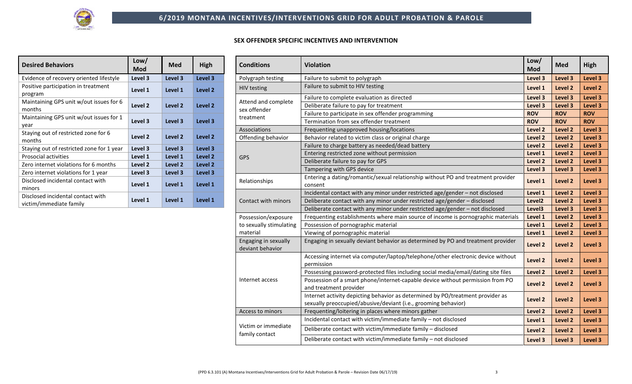## **SEX OFFENDER SPECIFIC INCENTIVES AND INTERVENTION**

| <b>Desired Behaviors</b>                                     | Low/<br>Mod        | <b>Med</b>         | High               |
|--------------------------------------------------------------|--------------------|--------------------|--------------------|
| Evidence of recovery oriented lifestyle                      | Level 3            | Level 3            | Level 3            |
| Positive participation in treatment<br>program               | Level 1            | Level 1            | Level <sub>2</sub> |
| Maintaining GPS unit w/out issues for 6<br>months            | Level <sub>2</sub> | Level <sub>2</sub> | Level <sub>2</sub> |
| Maintaining GPS unit w/out issues for 1<br>year              | Level 3            | Level 3            | Level 3            |
| Staying out of restricted zone for 6<br>months               | Level <sub>2</sub> | Level <sub>2</sub> | Level <sub>2</sub> |
| Staying out of restricted zone for 1 year                    | Level 3            | Level 3            | Level 3            |
| <b>Prosocial activities</b>                                  | Level 1            | Level 1            | Level <sub>2</sub> |
| Zero internet violations for 6 months                        | Level 2            | Level <sub>2</sub> | Level <sub>2</sub> |
| Zero internet violations for 1 year                          | Level 3            | Level 3            | Level 3            |
| Disclosed incidental contact with<br>minors                  | Level 1            | Level 1            | Level 1            |
| Disclosed incidental contact with<br>victim/immediate family | Level 1            | Level 1            | Level 1            |

| <b>Conditions</b>                                              | <b>Violation</b>                                                                                                                                 | Low/<br>Mod        | <b>Med</b> | High       |
|----------------------------------------------------------------|--------------------------------------------------------------------------------------------------------------------------------------------------|--------------------|------------|------------|
| Polygraph testing                                              | Failure to submit to polygraph                                                                                                                   | Level 3            | Level 3    | Level 3    |
| <b>HIV testing</b>                                             | Failure to submit to HIV testing                                                                                                                 | Level 1            | Level 2    | Level 2    |
| Attend and complete                                            | Failure to complete evaluation as directed                                                                                                       | Level 3            | Level 3    | Level 3    |
| sex offender                                                   | Deliberate failure to pay for treatment                                                                                                          | Level 3            | Level 3    | Level 3    |
| treatment                                                      | Failure to participate in sex offender programming                                                                                               | <b>ROV</b>         | <b>ROV</b> | <b>ROV</b> |
|                                                                | Termination from sex offender treatment                                                                                                          | <b>ROV</b>         | <b>ROV</b> | <b>ROV</b> |
| Associations                                                   | Frequenting unapproved housing/locations                                                                                                         | Level 2            | Level 2    | Level 3    |
| Offending behavior                                             | Behavior related to victim class or original charge                                                                                              | Level 2            | Level 2    | Level 3    |
|                                                                | Failure to charge battery as needed/dead battery                                                                                                 | Level 2            | Level 2    | Level 3    |
| <b>GPS</b>                                                     | Entering restricted zone without permission                                                                                                      | Level 1            | Level 2    | Level 3    |
|                                                                | Deliberate failure to pay for GPS                                                                                                                | Level 2            | Level 2    | Level 3    |
|                                                                | Tampering with GPS device                                                                                                                        | Level 3            | Level 3    | Level 3    |
| Relationships                                                  | Entering a dating/romantic/sexual relationship without PO and treatment provider<br>consent                                                      | Level 1            | Level 2    | Level 3    |
|                                                                | Incidental contact with any minor under restricted age/gender - not disclosed                                                                    | Level 1            | Level 2    | Level 3    |
| Contact with minors                                            | Deliberate contact with any minor under restricted age/gender - disclosed                                                                        | Level <sub>2</sub> | Level 2    | Level 3    |
|                                                                | Deliberate contact with any minor under restricted age/gender - not disclosed                                                                    | Level3             | Level 3    | Level 3    |
| Possession/exposure                                            | Frequenting establishments where main source of income is pornographic materials                                                                 | Level 1            | Level 2    | Level 3    |
| to sexually stimulating<br>Possession of pornographic material |                                                                                                                                                  | Level 1            | Level 2    | Level 3    |
| material                                                       | Viewing of pornographic material                                                                                                                 | Level 1            | Level 2    | Level 3    |
| Engaging in sexually<br>deviant behavior                       | Engaging in sexually deviant behavior as determined by PO and treatment provider                                                                 | Level 2            | Level 2    | Level 3    |
|                                                                | Accessing internet via computer/laptop/telephone/other electronic device without<br>permission                                                   | Level 2            | Level 2    | Level 3    |
|                                                                | Possessing password-protected files including social media/email/dating site files                                                               | Level 2            | Level 2    | Level 3    |
| Internet access                                                | Possession of a smart phone/internet-capable device without permission from PO<br>and treatment provider                                         | Level 2            | Level 2    | Level 3    |
|                                                                | Internet activity depicting behavior as determined by PO/treatment provider as<br>sexually preoccupied/abusive/deviant (i.e., grooming behavior) | Level 2            | Level 2    | Level 3    |
| Access to minors                                               | Frequenting/loitering in places where minors gather                                                                                              | Level 2            | Level 2    | Level 3    |
|                                                                | Incidental contact with victim/immediate family - not disclosed                                                                                  | Level 1            | Level 2    | Level 3    |
| Victim or immediate<br>family contact                          | Deliberate contact with victim/immediate family - disclosed                                                                                      | Level 2            | Level 2    | Level 3    |
|                                                                | Deliberate contact with victim/immediate family - not disclosed                                                                                  | Level 3            | Level 3    | Level 3    |